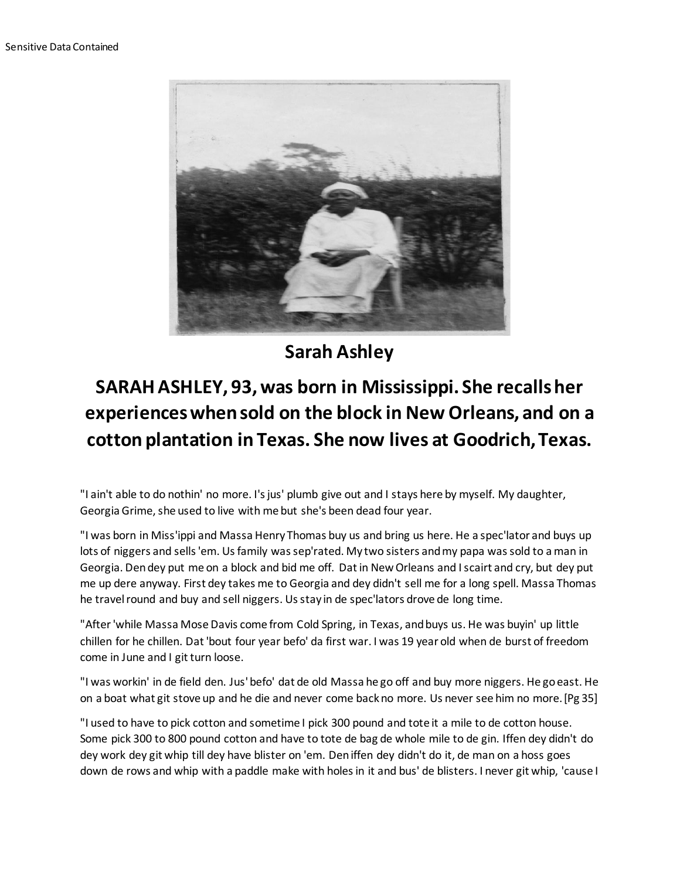

**Sarah Ashley**

## **SARAH ASHLEY, 93, was born in Mississippi. She recalls her experiences when sold on the block in New Orleans, and on a cotton plantation in Texas. She now lives at Goodrich, Texas.**

"I ain't able to do nothin' no more. I's jus' plumb give out and I stays here by myself. My daughter, Georgia Grime, she used to live with me but she's been dead four year.

"I was born in Miss'ippi and Massa Henry Thomas buy us and bring us here. He a spec'lator and buys up lots of niggers and sells 'em. Us family was sep'rated. My two sisters and my papa was sold to a man in Georgia. Den dey put me on a block and bid me off. Dat in New Orleans and I scairt and cry, but dey put me up dere anyway. First dey takes me to Georgia and dey didn't sell me for a long spell. Massa Thomas he travel round and buy and sell niggers. Us stay in de spec'lators drove de long time.

"After 'while Massa Mose Davis come from Cold Spring, in Texas, and buys us. He was buyin' up little chillen for he chillen. Dat 'bout four year befo' da first war. I was 19 year old when de burst of freedom come in June and I git turn loose.

"I was workin' in de field den. Jus' befo' dat de old Massa he go off and buy more niggers. He go east. He on a boat what git stove up and he die and never come back no more. Us never see him no more.[Pg 35]

"I used to have to pick cotton and sometime I pick 300 pound and tote it a mile to de cotton house. Some pick 300 to 800 pound cotton and have to tote de bag de whole mile to de gin. Iffen dey didn't do dey work dey git whip till dey have blister on 'em. Den iffen dey didn't do it, de man on a hoss goes down de rows and whip with a paddle make with holes in it and bus' de blisters. I never git whip, 'cause I